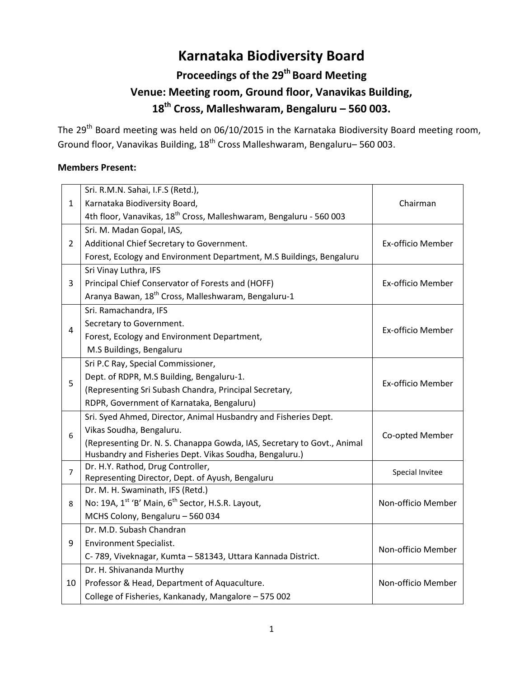# **Karnataka Biodiversity Board**

# **Proceedings of the 29th Board Meeting Venue: Meeting room, Ground floor, Vanavikas Building, 18th Cross, Malleshwaram, Bengaluru – 560 003.**

The 29<sup>th</sup> Board meeting was held on 06/10/2015 in the Karnataka Biodiversity Board meeting room, Ground floor, Vanavikas Building, 18th Cross Malleshwaram, Bengaluru– 560 003.

### **Members Present:**

|                | Sri. R.M.N. Sahai, I.F.S (Retd.),                                                    |                    |
|----------------|--------------------------------------------------------------------------------------|--------------------|
| $\mathbf{1}$   | Karnataka Biodiversity Board,                                                        | Chairman           |
|                | 4th floor, Vanavikas, 18 <sup>th</sup> Cross, Malleshwaram, Bengaluru - 560 003      |                    |
| $\overline{2}$ | Sri. M. Madan Gopal, IAS,                                                            |                    |
|                | Additional Chief Secretary to Government.                                            | Ex-officio Member  |
|                | Forest, Ecology and Environment Department, M.S Buildings, Bengaluru                 |                    |
| 3              | Sri Vinay Luthra, IFS                                                                |                    |
|                | Principal Chief Conservator of Forests and (HOFF)                                    | Ex-officio Member  |
|                | Aranya Bawan, 18 <sup>th</sup> Cross, Malleshwaram, Bengaluru-1                      |                    |
|                | Sri. Ramachandra, IFS                                                                |                    |
| 4              | Secretary to Government.                                                             | Ex-officio Member  |
|                | Forest, Ecology and Environment Department,                                          |                    |
|                | M.S Buildings, Bengaluru                                                             |                    |
|                | Sri P.C Ray, Special Commissioner,                                                   |                    |
| 5              | Dept. of RDPR, M.S Building, Bengaluru-1.                                            | Ex-officio Member  |
|                | (Representing Sri Subash Chandra, Principal Secretary,                               |                    |
|                | RDPR, Government of Karnataka, Bengaluru)                                            |                    |
|                | Sri. Syed Ahmed, Director, Animal Husbandry and Fisheries Dept.                      |                    |
| 6              | Vikas Soudha, Bengaluru.                                                             | Co-opted Member    |
|                | (Representing Dr. N. S. Chanappa Gowda, IAS, Secretary to Govt., Animal              |                    |
|                | Husbandry and Fisheries Dept. Vikas Soudha, Bengaluru.)                              |                    |
| $\overline{7}$ | Dr. H.Y. Rathod, Drug Controller,                                                    | Special Invitee    |
|                | Representing Director, Dept. of Ayush, Bengaluru<br>Dr. M. H. Swaminath, IFS (Retd.) |                    |
| 8              | No: 19A, 1 <sup>st</sup> 'B' Main, 6 <sup>th</sup> Sector, H.S.R. Layout,            | Non-officio Member |
|                | MCHS Colony, Bengaluru - 560 034                                                     |                    |
|                | Dr. M.D. Subash Chandran                                                             |                    |
| 9              | <b>Environment Specialist.</b>                                                       |                    |
|                | C-789, Viveknagar, Kumta - 581343, Uttara Kannada District.                          | Non-officio Member |
|                | Dr. H. Shivananda Murthy                                                             |                    |
| 10             | Professor & Head, Department of Aquaculture.                                         | Non-officio Member |
|                |                                                                                      |                    |
|                | College of Fisheries, Kankanady, Mangalore - 575 002                                 |                    |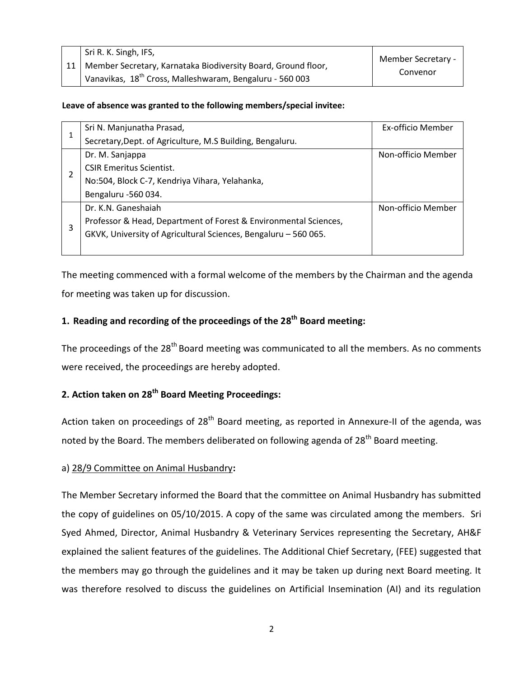| Sri R. K. Singh, IFS,                                                | Member Secretary - |
|----------------------------------------------------------------------|--------------------|
| 11   Member Secretary, Karnataka Biodiversity Board, Ground floor,   | Convenor           |
| Vanavikas, 18 <sup>th</sup> Cross, Malleshwaram, Bengaluru - 560 003 |                    |

#### **Leave of absence was granted to the following members/special invitee:**

| 1 | Sri N. Manjunatha Prasad,                                        | Ex-officio Member  |
|---|------------------------------------------------------------------|--------------------|
|   | Secretary, Dept. of Agriculture, M.S Building, Bengaluru.        |                    |
|   | Dr. M. Sanjappa                                                  | Non-officio Member |
|   | <b>CSIR Emeritus Scientist.</b>                                  |                    |
|   | No:504, Block C-7, Kendriya Vihara, Yelahanka,                   |                    |
|   | Bengaluru -560 034.                                              |                    |
| 3 | Dr. K.N. Ganeshaiah                                              | Non-officio Member |
|   | Professor & Head, Department of Forest & Environmental Sciences, |                    |
|   | GKVK, University of Agricultural Sciences, Bengaluru - 560 065.  |                    |
|   |                                                                  |                    |

The meeting commenced with a formal welcome of the members by the Chairman and the agenda for meeting was taken up for discussion.

### **1. Reading and recording of the proceedings of the 28 th Board meeting:**

The proceedings of the 28<sup>th</sup> Board meeting was communicated to all the members. As no comments were received, the proceedings are hereby adopted.

## **2. Action taken on 28th Board Meeting Proceedings:**

Action taken on proceedings of  $28<sup>th</sup>$  Board meeting, as reported in Annexure-II of the agenda, was noted by the Board. The members deliberated on following agenda of 28<sup>th</sup> Board meeting.

#### a) 28/9 Committee on Animal Husbandry**:**

The Member Secretary informed the Board that the committee on Animal Husbandry has submitted the copy of guidelines on 05/10/2015. A copy of the same was circulated among the members. Sri Syed Ahmed, Director, Animal Husbandry & Veterinary Services representing the Secretary, AH&F explained the salient features of the guidelines. The Additional Chief Secretary, (FEE) suggested that the members may go through the guidelines and it may be taken up during next Board meeting. It was therefore resolved to discuss the guidelines on Artificial Insemination (AI) and its regulation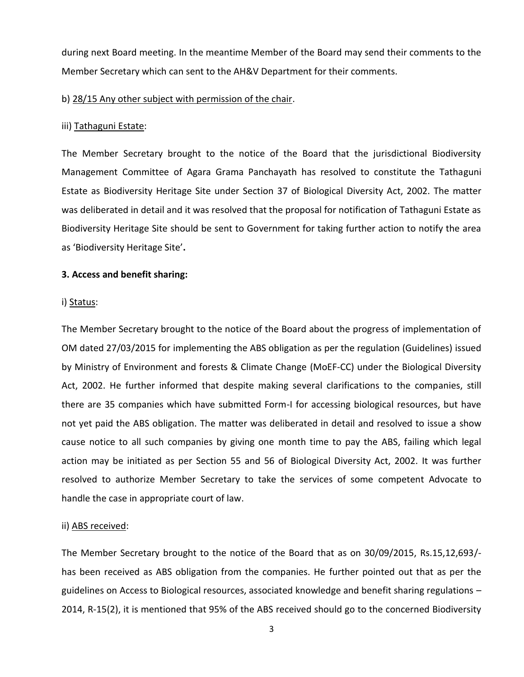during next Board meeting. In the meantime Member of the Board may send their comments to the Member Secretary which can sent to the AH&V Department for their comments.

#### b) 28/15 Any other subject with permission of the chair.

#### iii) Tathaguni Estate:

The Member Secretary brought to the notice of the Board that the jurisdictional Biodiversity Management Committee of Agara Grama Panchayath has resolved to constitute the Tathaguni Estate as Biodiversity Heritage Site under Section 37 of Biological Diversity Act, 2002. The matter was deliberated in detail and it was resolved that the proposal for notification of Tathaguni Estate as Biodiversity Heritage Site should be sent to Government for taking further action to notify the area as 'Biodiversity Heritage Site'**.**

#### **3. Access and benefit sharing:**

#### i) Status:

The Member Secretary brought to the notice of the Board about the progress of implementation of OM dated 27/03/2015 for implementing the ABS obligation as per the regulation (Guidelines) issued by Ministry of Environment and forests & Climate Change (MoEF-CC) under the Biological Diversity Act, 2002. He further informed that despite making several clarifications to the companies, still there are 35 companies which have submitted Form-I for accessing biological resources, but have not yet paid the ABS obligation. The matter was deliberated in detail and resolved to issue a show cause notice to all such companies by giving one month time to pay the ABS, failing which legal action may be initiated as per Section 55 and 56 of Biological Diversity Act, 2002. It was further resolved to authorize Member Secretary to take the services of some competent Advocate to handle the case in appropriate court of law.

#### ii) ABS received:

The Member Secretary brought to the notice of the Board that as on 30/09/2015, Rs.15,12,693/ has been received as ABS obligation from the companies. He further pointed out that as per the guidelines on Access to Biological resources, associated knowledge and benefit sharing regulations – 2014, R-15(2), it is mentioned that 95% of the ABS received should go to the concerned Biodiversity

3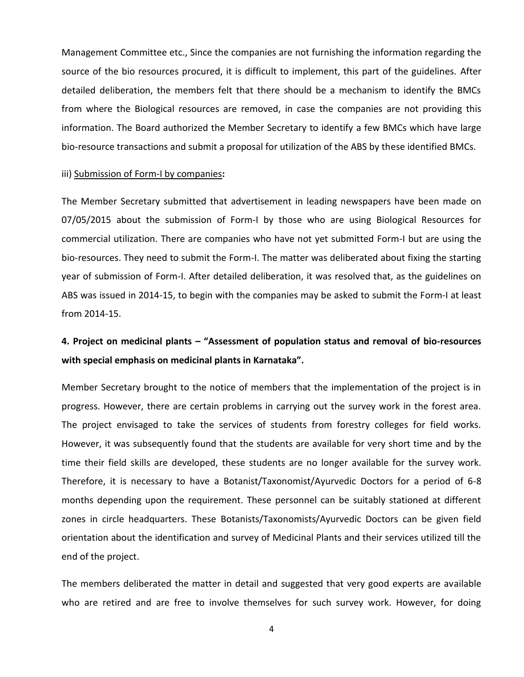Management Committee etc., Since the companies are not furnishing the information regarding the source of the bio resources procured, it is difficult to implement, this part of the guidelines. After detailed deliberation, the members felt that there should be a mechanism to identify the BMCs from where the Biological resources are removed, in case the companies are not providing this information. The Board authorized the Member Secretary to identify a few BMCs which have large bio-resource transactions and submit a proposal for utilization of the ABS by these identified BMCs.

#### iii) Submission of Form-I by companies**:**

The Member Secretary submitted that advertisement in leading newspapers have been made on 07/05/2015 about the submission of Form-I by those who are using Biological Resources for commercial utilization. There are companies who have not yet submitted Form-I but are using the bio-resources. They need to submit the Form-I. The matter was deliberated about fixing the starting year of submission of Form-I. After detailed deliberation, it was resolved that, as the guidelines on ABS was issued in 2014-15, to begin with the companies may be asked to submit the Form-I at least from 2014-15.

## **4. Project on medicinal plants – "Assessment of population status and removal of bio-resources with special emphasis on medicinal plants in Karnataka".**

Member Secretary brought to the notice of members that the implementation of the project is in progress. However, there are certain problems in carrying out the survey work in the forest area. The project envisaged to take the services of students from forestry colleges for field works. However, it was subsequently found that the students are available for very short time and by the time their field skills are developed, these students are no longer available for the survey work. Therefore, it is necessary to have a Botanist/Taxonomist/Ayurvedic Doctors for a period of 6-8 months depending upon the requirement. These personnel can be suitably stationed at different zones in circle headquarters. These Botanists/Taxonomists/Ayurvedic Doctors can be given field orientation about the identification and survey of Medicinal Plants and their services utilized till the end of the project.

The members deliberated the matter in detail and suggested that very good experts are available who are retired and are free to involve themselves for such survey work. However, for doing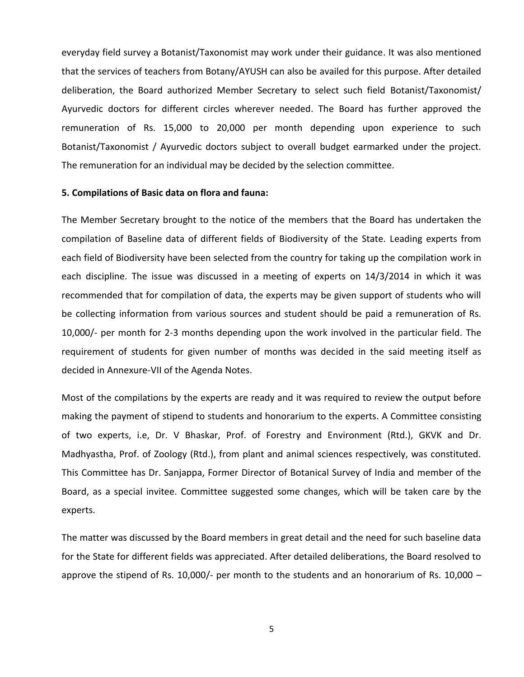everyday field survey a Botanist/Taxonomist may work under their guidance. It was also mentioned that the services of teachers from Botany/AYUSH can also be availed for this purpose. After detailed deliberation, the Board authorized Member Secretary to select such field Botanist/Taxonomist/ Ayurvedic doctors for different circles wherever needed. The Board has further approved the remuneration of Rs. 15,000 to 20,000 per month depending upon experience to such Botanist/Taxonomist / Ayurvedic doctors subject to overall budget earmarked under the project. The remuneration for an individual may be decided by the selection committee.

#### **5. Compilations of Basic data on flora and fauna:**

The Member Secretary brought to the notice of the members that the Board has undertaken the compilation of Baseline data of different fields of Biodiversity of the State. Leading experts from each field of Biodiversity have been selected from the country for taking up the compilation work in each discipline. The issue was discussed in a meeting of experts on 14/3/2014 in which it was recommended that for compilation of data, the experts may be given support of students who will be collecting information from various sources and student should be paid a remuneration of Rs. 10,000/- per month for 2-3 months depending upon the work involved in the particular field. The requirement of students for given number of months was decided in the said meeting itself as decided in Annexure-VII of the Agenda Notes.

Most of the compilations by the experts are ready and it was required to review the output before making the payment of stipend to students and honorarium to the experts. A Committee consisting of two experts, i.e, Dr. V Bhaskar, Prof. of Forestry and Environment (Rtd.), GKVK and Dr. Madhyastha, Prof. of Zoology (Rtd.), from plant and animal sciences respectively, was constituted. This Committee has Dr. Sanjappa, Former Director of Botanical Survey of India and member of the Board, as a special invitee. Committee suggested some changes, which will be taken care by the experts.

The matter was discussed by the Board members in great detail and the need for such baseline data for the State for different fields was appreciated. After detailed deliberations, the Board resolved to approve the stipend of Rs. 10,000/- per month to the students and an honorarium of Rs. 10,000  $-$ 

5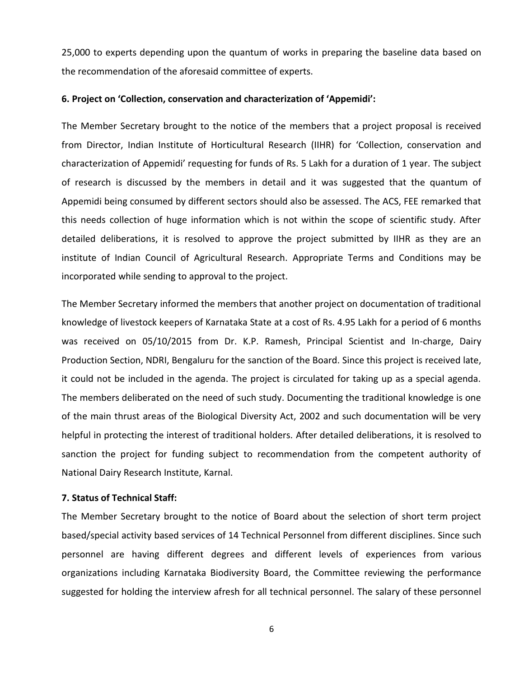25,000 to experts depending upon the quantum of works in preparing the baseline data based on the recommendation of the aforesaid committee of experts.

#### **6. Project on 'Collection, conservation and characterization of 'Appemidi':**

The Member Secretary brought to the notice of the members that a project proposal is received from Director, Indian Institute of Horticultural Research (IIHR) for 'Collection, conservation and characterization of Appemidi' requesting for funds of Rs. 5 Lakh for a duration of 1 year. The subject of research is discussed by the members in detail and it was suggested that the quantum of Appemidi being consumed by different sectors should also be assessed. The ACS, FEE remarked that this needs collection of huge information which is not within the scope of scientific study. After detailed deliberations, it is resolved to approve the project submitted by IIHR as they are an institute of Indian Council of Agricultural Research. Appropriate Terms and Conditions may be incorporated while sending to approval to the project.

The Member Secretary informed the members that another project on documentation of traditional knowledge of livestock keepers of Karnataka State at a cost of Rs. 4.95 Lakh for a period of 6 months was received on 05/10/2015 from Dr. K.P. Ramesh, Principal Scientist and In-charge, Dairy Production Section, NDRI, Bengaluru for the sanction of the Board. Since this project is received late, it could not be included in the agenda. The project is circulated for taking up as a special agenda. The members deliberated on the need of such study. Documenting the traditional knowledge is one of the main thrust areas of the Biological Diversity Act, 2002 and such documentation will be very helpful in protecting the interest of traditional holders. After detailed deliberations, it is resolved to sanction the project for funding subject to recommendation from the competent authority of National Dairy Research Institute, Karnal.

#### **7. Status of Technical Staff:**

The Member Secretary brought to the notice of Board about the selection of short term project based/special activity based services of 14 Technical Personnel from different disciplines. Since such personnel are having different degrees and different levels of experiences from various organizations including Karnataka Biodiversity Board, the Committee reviewing the performance suggested for holding the interview afresh for all technical personnel. The salary of these personnel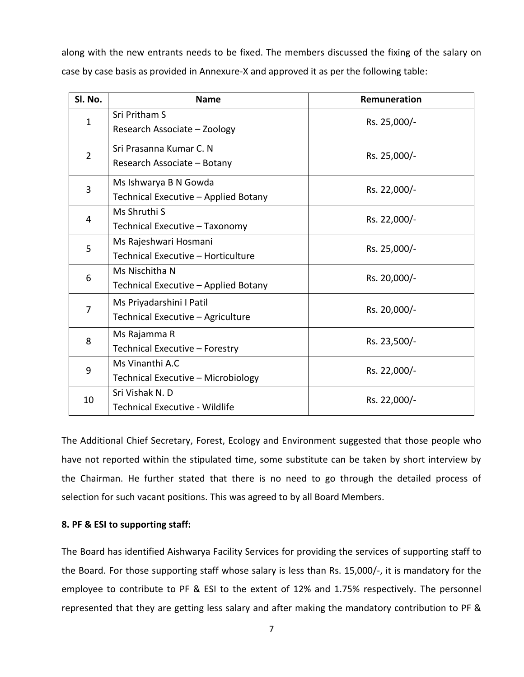along with the new entrants needs to be fixed. The members discussed the fixing of the salary on case by case basis as provided in Annexure-X and approved it as per the following table:

| SI. No.        | <b>Name</b>                                                   | Remuneration |
|----------------|---------------------------------------------------------------|--------------|
| $\mathbf{1}$   | Sri Pritham S<br>Research Associate - Zoology                 | Rs. 25,000/- |
| $\overline{2}$ | Sri Prasanna Kumar C. N<br>Research Associate - Botany        | Rs. 25,000/- |
| 3              | Ms Ishwarya B N Gowda<br>Technical Executive - Applied Botany | Rs. 22,000/- |
| 4              | Ms Shruthi S<br>Technical Executive - Taxonomy                | Rs. 22,000/- |
| 5              | Ms Rajeshwari Hosmani<br>Technical Executive - Horticulture   | Rs. 25,000/- |
| 6              | Ms Nischitha N<br>Technical Executive - Applied Botany        | Rs. 20,000/- |
| 7              | Ms Priyadarshini I Patil<br>Technical Executive - Agriculture | Rs. 20,000/- |
| 8              | Ms Rajamma R<br>Technical Executive - Forestry                | Rs. 23,500/- |
| 9              | Ms Vinanthi A.C<br>Technical Executive - Microbiology         | Rs. 22,000/- |
| 10             | Sri Vishak N.D<br><b>Technical Executive - Wildlife</b>       | Rs. 22,000/- |

The Additional Chief Secretary, Forest, Ecology and Environment suggested that those people who have not reported within the stipulated time, some substitute can be taken by short interview by the Chairman. He further stated that there is no need to go through the detailed process of selection for such vacant positions. This was agreed to by all Board Members.

#### **8. PF & ESI to supporting staff:**

The Board has identified Aishwarya Facility Services for providing the services of supporting staff to the Board. For those supporting staff whose salary is less than Rs. 15,000/-, it is mandatory for the employee to contribute to PF & ESI to the extent of 12% and 1.75% respectively. The personnel represented that they are getting less salary and after making the mandatory contribution to PF &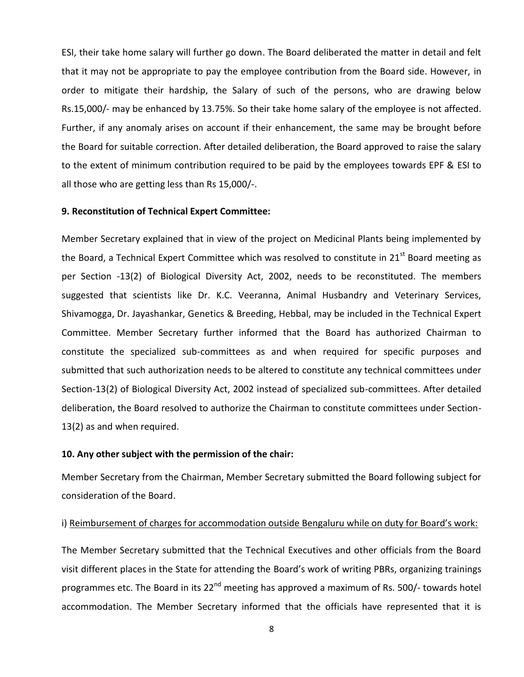ESI, their take home salary will further go down. The Board deliberated the matter in detail and felt that it may not be appropriate to pay the employee contribution from the Board side. However, in order to mitigate their hardship, the Salary of such of the persons, who are drawing below Rs.15,000/- may be enhanced by 13.75%. So their take home salary of the employee is not affected. Further, if any anomaly arises on account if their enhancement, the same may be brought before the Board for suitable correction. After detailed deliberation, the Board approved to raise the salary to the extent of minimum contribution required to be paid by the employees towards EPF & ESI to all those who are getting less than Rs 15,000/-.

#### **9. Reconstitution of Technical Expert Committee:**

Member Secretary explained that in view of the project on Medicinal Plants being implemented by the Board, a Technical Expert Committee which was resolved to constitute in 21<sup>st</sup> Board meeting as per Section -13(2) of Biological Diversity Act, 2002, needs to be reconstituted. The members suggested that scientists like Dr. K.C. Veeranna, Animal Husbandry and Veterinary Services, Shivamogga, Dr. Jayashankar, Genetics & Breeding, Hebbal, may be included in the Technical Expert Committee. Member Secretary further informed that the Board has authorized Chairman to constitute the specialized sub-committees as and when required for specific purposes and submitted that such authorization needs to be altered to constitute any technical committees under Section-13(2) of Biological Diversity Act, 2002 instead of specialized sub-committees. After detailed deliberation, the Board resolved to authorize the Chairman to constitute committees under Section-13(2) as and when required.

#### **10. Any other subject with the permission of the chair:**

Member Secretary from the Chairman, Member Secretary submitted the Board following subject for consideration of the Board.

#### i) Reimbursement of charges for accommodation outside Bengaluru while on duty for Board's work:

The Member Secretary submitted that the Technical Executives and other officials from the Board visit different places in the State for attending the Board's work of writing PBRs, organizing trainings programmes etc. The Board in its 22<sup>nd</sup> meeting has approved a maximum of Rs. 500/- towards hotel accommodation. The Member Secretary informed that the officials have represented that it is